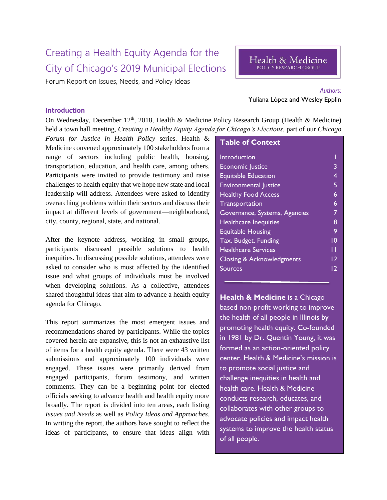## Creating a Health Equity Agenda for the City of Chicago's 2019 Municipal Elections

Forum Report on Issues, Needs, and Policy Ideas

# *Authors:*

#### **Introduction**

On Wednesday, December 12<sup>th</sup>, 2018, Health & Medicine Policy Research Group (Health & Medicine) held a town hall meeting, *Creating a Healthy Equity Agenda for Chicago's Elections*, part of our *Chicago* 

*Forum for Justice in Health Policy* series. Health & Medicine convened approximately 100 stakeholders from a range of sectors including public health, housing, transportation, education, and health care, among others. Participants were invited to provide testimony and raise challenges to health equity that we hope new state and local leadership will address. Attendees were asked to identify overarching problems within their sectors and discuss their impact at different levels of government—neighborhood, city, county, regional, state, and national.

After the keynote address, working in small groups, participants discussed possible solutions to health inequities. In discussing possible solutions, attendees were asked to consider who is most affected by the identified issue and what groups of individuals must be involved when developing solutions. As a collective, attendees shared thoughtful ideas that aim to advance a health equity agenda for Chicago.

This report summarizes the most emergent issues and recommendations shared by participants. While the topics covered herein are expansive, this is not an exhaustive list of items for a health equity agenda. There were 43 written submissions and approximately 100 individuals were engaged. These issues were primarily derived from engaged participants, forum testimony, and written comments. They can be a beginning point for elected officials seeking to advance health and health equity more broadly. The report is divided into ten areas, each listing *Issues and Needs* as well as *Policy Ideas and Approaches*. In writing the report, the authors have sought to reflect the ideas of participants, to ensure that ideas align with

| <b>Table of Context</b>              |    |
|--------------------------------------|----|
| Introduction                         |    |
| <b>Economic Justice</b>              | 3  |
| <b>Equitable Education</b>           | 4  |
| <b>Environmental Justice</b>         | 5  |
| <b>Healthy Food Access</b>           | 6  |
| Transportation                       | 6  |
| Governance, Systems, Agencies        | 7  |
| <b>Healthcare Inequities</b>         | 8  |
| <b>Equitable Housing</b>             | 9  |
| Tax, Budget, Funding                 | 10 |
| <b>Healthcare Services</b>           | Н  |
| <b>Closing &amp; Acknowledgments</b> | 12 |
| Sources                              | 12 |
|                                      |    |

**Health & Medicine** is a Chicago based non-profit working to improve the health of all people in Illinois by promoting health equity. Co-founded in 1981 by Dr. Quentin Young, it was formed as an action-oriented policy center. Health & Medicine's mission is to promote social justice and challenge inequities in health and health care. Health & Medicine conducts research, educates, and collaborates with other groups to advocate policies and impact health systems to improve the health status of all people.

# Yuliana López and Wesley Epplin

Health & Medicine POLICY RESEARCH GROUP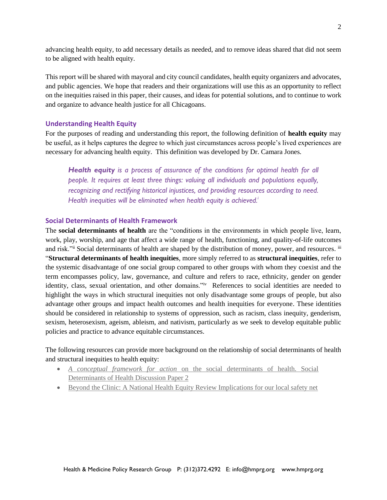advancing health equity, to add necessary details as needed, and to remove ideas shared that did not seem to be aligned with health equity.

This report will be shared with mayoral and city council candidates, health equity organizers and advocates, and public agencies. We hope that readers and their organizations will use this as an opportunity to reflect on the inequities raised in this paper, their causes, and ideas for potential solutions, and to continue to work and organize to advance health justice for all Chicagoans.

## **Understanding Health Equity**

For the purposes of reading and understanding this report, the following definition of **health equity** may be useful, as it helps captures the degree to which just circumstances across people's lived experiences are necessary for advancing health equity. This definition was developed by Dr. Camara Jones.

*Health equity is a process of assurance of the conditions for optimal health for all people. It requires at least three things: valuing all individuals and populations equally, recognizing and rectifying historical injustices, and providing resources according to need. Health inequities will be eliminated when health equity is achieved.<sup>i</sup>*

## **Social Determinants of Health Framework**

The **social determinants of health** are the "conditions in the environments in which people live, learn, work, play, worship, and age that affect a wide range of health, functioning, and quality-of-life outcomes and risk."ii Social determinants of health are shaped by the distribution of money, power, and resources. iii "**Structural determinants of health inequities**, more simply referred to as **structural inequities**, refer to the systemic disadvantage of one social group compared to other groups with whom they coexist and the term encompasses policy, law, governance, and culture and refers to race, ethnicity, gender on gender identity, class, sexual orientation, and other domains."<sup>iv</sup> References to social identities are needed to highlight the ways in which structural inequities not only disadvantage some groups of people, but also advantage other groups and impact health outcomes and health inequities for everyone. These identities should be considered in relationship to systems of oppression, such as racism, class inequity, genderism, sexism, heterosexism, ageism, ableism, and nativism, particularly as we seek to develop equitable public policies and practice to advance equitable circumstances.

The following resources can provide more background on the relationship of social determinants of health and structural inequities to health equity:

- *A conceptual framework for action* [on the social determinants of health. Social](https://www.who.int/sdhconference/resources/ConceptualframeworkforactiononSDH_eng.pdf)  [Determinants of Health Discussion Paper 2](https://www.who.int/sdhconference/resources/ConceptualframeworkforactiononSDH_eng.pdf)
- [Beyond the Clinic: A National Health Equity Review Implications for our local safety net](http://www.hmprg.org/wp-content/themes/HMPRG/backup/PDFs/2018/National%20Health%20Equity%20Research%20Paper.%20March%202018.%20Updated.pdf)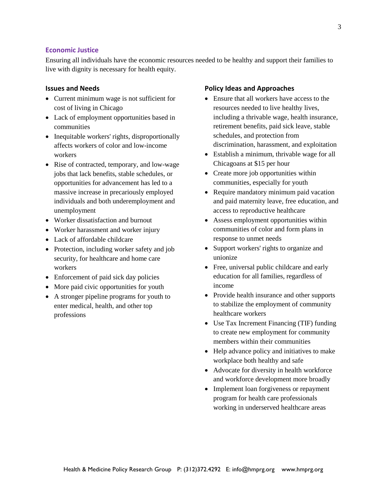#### **Economic Justice**

Ensuring all individuals have the economic resources needed to be healthy and support their families to live with dignity is necessary for health equity.

#### **Issues and Needs**

- Current minimum wage is not sufficient for cost of living in Chicago
- Lack of employment opportunities based in communities
- Inequitable workers' rights, disproportionally affects workers of color and low-income workers
- Rise of contracted, temporary, and low-wage jobs that lack benefits, stable schedules, or opportunities for advancement has led to a massive increase in precariously employed individuals and both underemployment and unemployment
- Worker dissatisfaction and burnout
- Worker harassment and worker injury
- Lack of affordable childcare
- Protection, including worker safety and job security, for healthcare and home care workers
- Enforcement of paid sick day policies
- More paid civic opportunities for youth
- A stronger pipeline programs for youth to enter medical, health, and other top professions

- Ensure that all workers have access to the resources needed to live healthy lives, including a thrivable wage, health insurance, retirement benefits, paid sick leave, stable schedules, and protection from discrimination, harassment, and exploitation
- Establish a minimum, thrivable wage for all Chicagoans at \$15 per hour
- Create more job opportunities within communities, especially for youth
- Require mandatory minimum paid vacation and paid maternity leave, free education, and access to reproductive healthcare
- Assess employment opportunities within communities of color and form plans in response to unmet needs
- Support workers' rights to organize and unionize
- Free, universal public childcare and early education for all families, regardless of income
- Provide health insurance and other supports to stabilize the employment of community healthcare workers
- Use Tax Increment Financing (TIF) funding to create new employment for community members within their communities
- Help advance policy and initiatives to make workplace both healthy and safe
- Advocate for diversity in health workforce and workforce development more broadly
- Implement loan forgiveness or repayment program for health care professionals working in underserved healthcare areas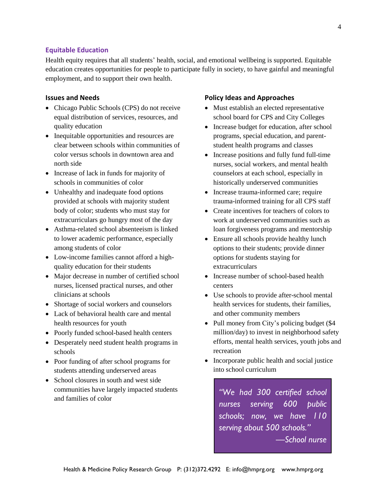#### **Equitable Education**

Health equity requires that all students' health, social, and emotional wellbeing is supported. Equitable education creates opportunities for people to participate fully in society, to have gainful and meaningful employment, and to support their own health.

## **Issues and Needs**

- Chicago Public Schools (CPS) do not receive equal distribution of services, resources, and quality education
- Inequitable opportunities and resources are clear between schools within communities of color versus schools in downtown area and north side
- Increase of lack in funds for majority of schools in communities of color
- Unhealthy and inadequate food options provided at schools with majority student body of color; students who must stay for extracurriculars go hungry most of the day
- Asthma-related school absenteeism is linked to lower academic performance, especially among students of color
- Low-income families cannot afford a highquality education for their students
- Major decrease in number of certified school nurses, licensed practical nurses, and other clinicians at schools
- Shortage of social workers and counselors
- Lack of behavioral health care and mental health resources for youth
- Poorly funded school-based health centers
- Desperately need student health programs in schools
- Poor funding of after school programs for students attending underserved areas
- School closures in south and west side communities have largely impacted students and families of color

## **Policy Ideas and Approaches**

- Must establish an elected representative school board for CPS and City Colleges
- Increase budget for education, after school programs, special education, and parentstudent health programs and classes
- Increase positions and fully fund full-time nurses, social workers, and mental health counselors at each school, especially in historically underserved communities
- Increase trauma-informed care; require trauma-informed training for all CPS staff
- Create incentives for teachers of colors to work at underserved communities such as loan forgiveness programs and mentorship
- Ensure all schools provide healthy lunch options to their students; provide dinner options for students staying for extracurriculars
- Increase number of school-based health centers
- Use schools to provide after-school mental health services for students, their families, and other community members
- Pull money from City's policing budget (\$4) million/day) to invest in neighborhood safety efforts, mental health services, youth jobs and recreation
- Incorporate public health and social justice into school curriculum

*"We had 300 certified school nurses serving 600 public schools; now, we have 110 serving about 500 schools." —School nurse*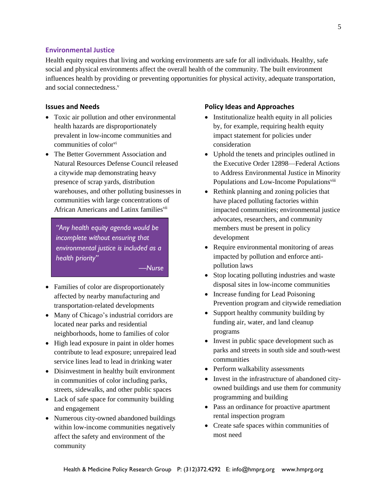## **Environmental Justice**

Health equity requires that living and working environments are safe for all individuals. Healthy, safe social and physical environments affect the overall health of the community. The built environment influences health by providing or preventing opportunities for physical activity, adequate transportation, and social connectedness.<sup>v</sup>

## **Issues and Needs**

- Toxic air pollution and other environmental health hazards are disproportionately prevalent in low-income communities and communities of color<sup>vi</sup>
- The Better Government Association and Natural Resources Defense Council released a citywide map demonstrating heavy presence of scrap yards, distribution warehouses, and other polluting businesses in communities with large concentrations of African Americans and Latinx families<sup>vii</sup>

*"Any health equity agenda would be incomplete without ensuring that environmental justice is included as a health priority"*

*—Nurse*

- Families of color are disproportionately affected by nearby manufacturing and transportation-related developments
- Many of Chicago's industrial corridors are located near parks and residential neighborhoods, home to families of color
- High lead exposure in paint in older homes contribute to lead exposure; unrepaired lead service lines lead to lead in drinking water
- Disinvestment in healthy built environment in communities of color including parks, streets, sidewalks, and other public spaces
- Lack of safe space for community building and engagement
- Numerous city-owned abandoned buildings within low-income communities negatively affect the safety and environment of the community

- Institutionalize health equity in all policies by, for example, requiring health equity impact statement for policies under consideration
- Uphold the tenets and principles outlined in the Executive Order 12898—Federal Actions to Address Environmental Justice in Minority Populations and Low-Income Populations<sup>viii</sup>
- Rethink planning and zoning policies that have placed polluting factories within impacted communities; environmental justice advocates, researchers, and community members must be present in policy development
- Require environmental monitoring of areas impacted by pollution and enforce antipollution laws
- Stop locating polluting industries and waste disposal sites in low-income communities
- Increase funding for Lead Poisoning Prevention program and citywide remediation
- Support healthy community building by funding air, water, and land cleanup programs
- Invest in public space development such as parks and streets in south side and south-west communities
- Perform walkability assessments
- Invest in the infrastructure of abandoned cityowned buildings and use them for community programming and building
- Pass an ordinance for proactive apartment rental inspection program
- Create safe spaces within communities of most need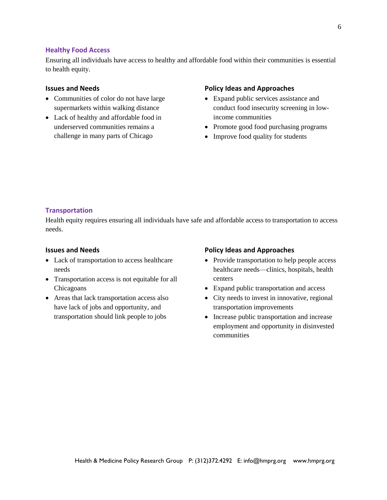#### **Healthy Food Access**

Ensuring all individuals have access to healthy and affordable food within their communities is essential to health equity.

#### **Issues and Needs**

- Communities of color do not have large supermarkets within walking distance
- Lack of healthy and affordable food in underserved communities remains a challenge in many parts of Chicago

#### **Policy Ideas and Approaches**

- Expand public services assistance and conduct food insecurity screening in lowincome communities
- Promote good food purchasing programs
- Improve food quality for students

## **Transportation**

Health equity requires ensuring all individuals have safe and affordable access to transportation to access needs.

## **Issues and Needs**

- Lack of transportation to access healthcare needs
- Transportation access is not equitable for all Chicagoans
- Areas that lack transportation access also have lack of jobs and opportunity, and transportation should link people to jobs

- Provide transportation to help people access healthcare needs—clinics, hospitals, health centers
- Expand public transportation and access
- City needs to invest in innovative, regional transportation improvements
- Increase public transportation and increase employment and opportunity in disinvested communities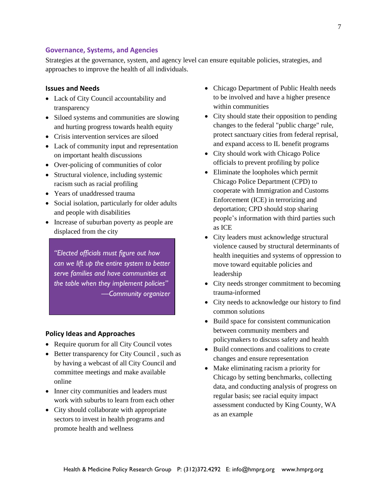#### **Governance, Systems, and Agencies**

Strategies at the governance, system, and agency level can ensure equitable policies, strategies, and approaches to improve the health of all individuals.

#### **Issues and Needs**

- Lack of City Council accountability and transparency
- Siloed systems and communities are slowing and hurting progress towards health equity
- Crisis intervention services are siloed
- Lack of community input and representation on important health discussions
- Over-policing of communities of color
- Structural violence, including systemic racism such as racial profiling
- Years of unaddressed trauma
- Social isolation, particularly for older adults and people with disabilities
- Increase of suburban poverty as people are displaced from the city

*"Elected officials must figure out how can we lift up the entire system to better serve families and have communities at the table when they implement policies" —Community organizer*

- Require quorum for all City Council votes
- Better transparency for City Council, such as by having a webcast of all City Council and committee meetings and make available online
- Inner city communities and leaders must work with suburbs to learn from each other
- City should collaborate with appropriate sectors to invest in health programs and promote health and wellness
- Chicago Department of Public Health needs to be involved and have a higher presence within communities
- City should state their opposition to pending changes to the federal "public charge" rule, protect sanctuary cities from federal reprisal, and expand access to IL benefit programs
- City should work with Chicago Police officials to prevent profiling by police
- Eliminate the loopholes which permit Chicago Police Department (CPD) to cooperate with Immigration and Customs Enforcement (ICE) in terrorizing and deportation; CPD should stop sharing people's information with third parties such as ICE
- City leaders must acknowledge structural violence caused by structural determinants of health inequities and systems of oppression to move toward equitable policies and leadership
- City needs stronger commitment to becoming trauma-informed
- City needs to acknowledge our history to find common solutions
- Build space for consistent communication between community members and policymakers to discuss safety and health
- Build connections and coalitions to create changes and ensure representation
- Make eliminating racism a priority for Chicago by setting benchmarks, collecting data, and conducting analysis of progress on regular basis; see racial equity impact assessment conducted by King County, WA as an example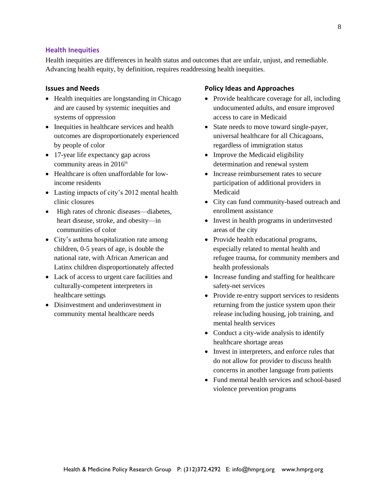#### **Health Inequities**

Health inequities are differences in health status and outcomes that are unfair, unjust, and remediable. Advancing health equity, by definition, requires readdressing health inequities.

#### **Issues and Needs**

- Health inequities are longstanding in Chicago and are caused by systemic inequities and systems of oppression
- Inequities in healthcare services and health outcomes are disproportionately experienced by people of color
- 17-year life expectancy gap across community areas in  $2016<sup>ix</sup>$
- Healthcare is often unaffordable for lowincome residents
- Lasting impacts of city's 2012 mental health clinic closures
- High rates of chronic diseases—diabetes, heart disease, stroke, and obesity—in communities of color
- City's asthma hospitalization rate among children, 0-5 years of age, is double the national rate, with African American and Latinx children disproportionately affected
- Lack of access to urgent care facilities and culturally-competent interpreters in healthcare settings
- Disinvestment and underinvestment in community mental healthcare needs

- Provide healthcare coverage for all, including undocumented adults, and ensure improved access to care in Medicaid
- State needs to move toward single-payer, universal healthcare for all Chicagoans, regardless of immigration status
- Improve the Medicaid eligibility determination and renewal system
- Increase reimbursement rates to secure participation of additional providers in Medicaid
- City can fund community-based outreach and enrollment assistance
- Invest in health programs in underinvested areas of the city
- Provide health educational programs, especially related to mental health and refugee trauma, for community members and health professionals
- Increase funding and staffing for healthcare safety-net services
- Provide re-entry support services to residents returning from the justice system upon their release including housing, job training, and mental health services
- Conduct a city-wide analysis to identify healthcare shortage areas
- Invest in interpreters, and enforce rules that do not allow for provider to discuss health concerns in another language from patients
- Fund mental health services and school-based violence prevention programs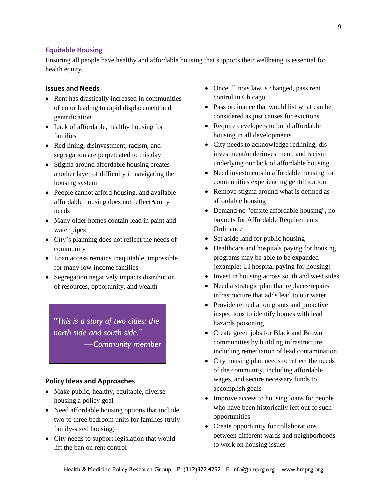## **Equitable Housing**

Ensuring all people have healthy and affordable housing that supports their wellbeing is essential for health equity.

#### **Issues and Needs**

- Rent has drastically increased in communities of color leading to rapid displacement and gentrification
- Lack of affordable, healthy housing for families
- Red lining, disinvestment, racism, and segregation are perpetuated to this day
- Stigma around affordable housing creates another layer of difficulty in navigating the housing system
- People cannot afford housing, and available affordable housing does not reflect family needs
- Many older homes contain lead in paint and water pipes
- City's planning does not reflect the needs of community
- Loan access remains inequitable, impossible for many low-income families
- Segregation negatively impacts distribution of resources, opportunity, and wealth

*"This is a story of two cities: the north side and south side." —Community member*

- Make public, healthy, equitable, diverse housing a policy goal
- Need affordable housing options that include two to three bedroom units for families (truly family-sized housing)
- City needs to support legislation that would lift the ban on rent control
- Once Illinois law is changed, pass rent control in Chicago
- Pass ordinance that would list what can be considered as just causes for evictions
- Require developers to build affordable housing in all developments
- City needs to acknowledge redlining, disinvestment/underinvestment, and racism underlying our lack of affordable housing
- Need investments in affordable housing for communities experiencing gentrification
- Remove stigma around what is defined as affordable housing
- Demand no "offsite affordable housing", no buyouts for Affordable Requirements **Ordinance**
- Set aside land for public housing
- Healthcare and hospitals paying for housing programs may be able to be expanded (example: UI hospital paying for housing)
- Invest in housing across south and west sides
- Need a strategic plan that replaces/repairs infrastructure that adds lead to our water
- Provide remediation grants and proactive inspections to identify homes with lead hazards poisoning
- Create green jobs for Black and Brown communities by building infrastructure including remediation of lead contamination
- City housing plan needs to reflect the needs of the community, including affordable wages, and secure necessary funds to accomplish goals
- Improve access to housing loans for people who have been historically left out of such opportunities
- Create opportunity for collaborations between different wards and neighborhoods to work on housing issues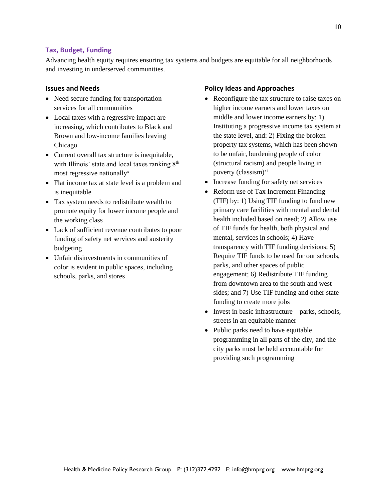## **Tax, Budget, Funding**

Advancing health equity requires ensuring tax systems and budgets are equitable for all neighborhoods and investing in underserved communities.

#### **Issues and Needs**

- Need secure funding for transportation services for all communities
- Local taxes with a regressive impact are increasing, which contributes to Black and Brown and low-income families leaving Chicago
- Current overall tax structure is inequitable, with Illinois' state and local taxes ranking  $8<sup>th</sup>$ most regressive nationally<sup>x</sup>
- Flat income tax at state level is a problem and is inequitable
- Tax system needs to redistribute wealth to promote equity for lower income people and the working class
- Lack of sufficient revenue contributes to poor funding of safety net services and austerity budgeting
- Unfair disinvestments in communities of color is evident in public spaces, including schools, parks, and stores

- Reconfigure the tax structure to raise taxes on higher income earners and lower taxes on middle and lower income earners by: 1) Instituting a progressive income tax system at the state level, and: 2) Fixing the broken property tax systems, which has been shown to be unfair, burdening people of color (structural racism) and people living in poverty (classism)<sup>xi</sup>
- Increase funding for safety net services
- Reform use of Tax Increment Financing (TIF) by: 1) Using TIF funding to fund new primary care facilities with mental and dental health included based on need; 2) Allow use of TIF funds for health, both physical and mental, services in schools; 4) Have transparency with TIF funding decisions; 5) Require TIF funds to be used for our schools, parks, and other spaces of public engagement; 6) Redistribute TIF funding from downtown area to the south and west sides; and 7) Use TIF funding and other state funding to create more jobs
- Invest in basic infrastructure—parks, schools, streets in an equitable manner
- Public parks need to have equitable programming in all parts of the city, and the city parks must be held accountable for providing such programming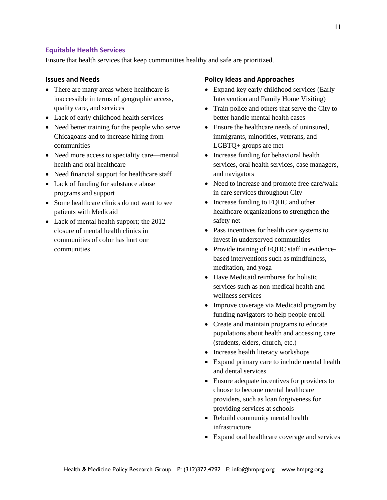## **Equitable Health Services**

Ensure that health services that keep communities healthy and safe are prioritized.

## **Issues and Needs**

- There are many areas where healthcare is inaccessible in terms of geographic access, quality care, and services
- Lack of early childhood health services
- Need better training for the people who serve Chicagoans and to increase hiring from communities
- Need more access to speciality care—mental health and oral healthcare
- Need financial support for healthcare staff
- Lack of funding for substance abuse programs and support
- Some healthcare clinics do not want to see patients with Medicaid
- Lack of mental health support; the 2012 closure of mental health clinics in communities of color has hurt our communities

- Expand key early childhood services (Early Intervention and Family Home Visiting)
- Train police and others that serve the City to better handle mental health cases
- Ensure the healthcare needs of uninsured, immigrants, minorities, veterans, and LGBTQ+ groups are met
- Increase funding for behavioral health services, oral health services, case managers, and navigators
- Need to increase and promote free care/walkin care services throughout City
- Increase funding to FQHC and other healthcare organizations to strengthen the safety net
- Pass incentives for health care systems to invest in underserved communities
- Provide training of FQHC staff in evidencebased interventions such as mindfulness, meditation, and yoga
- Have Medicaid reimburse for holistic services such as non-medical health and wellness services
- Improve coverage via Medicaid program by funding navigators to help people enroll
- Create and maintain programs to educate populations about health and accessing care (students, elders, church, etc.)
- Increase health literacy workshops
- Expand primary care to include mental health and dental services
- Ensure adequate incentives for providers to choose to become mental healthcare providers, such as loan forgiveness for providing services at schools
- Rebuild community mental health infrastructure
- Expand oral healthcare coverage and services